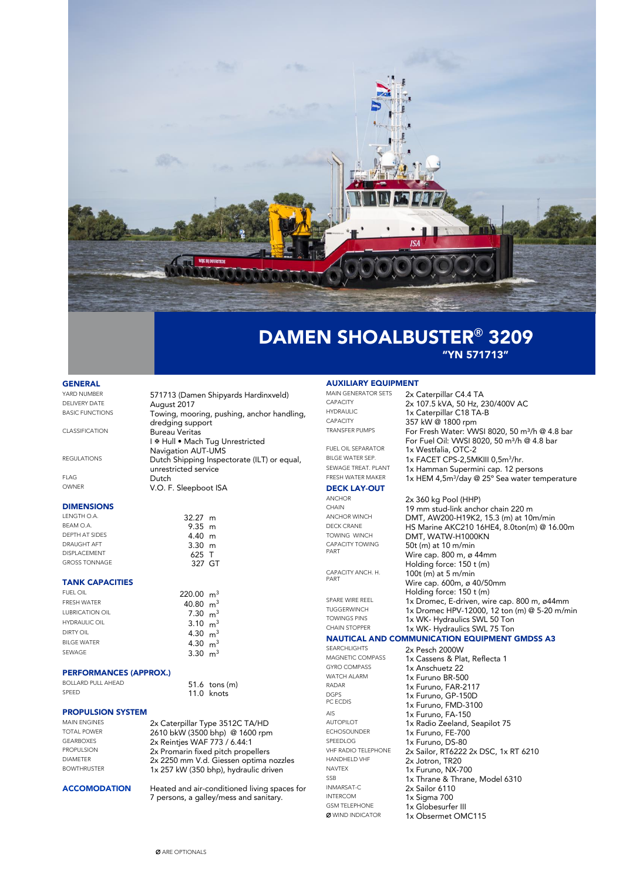

"YN 571713"

### **GENERAL**

| YARD NUMBER<br>DEI IVERY DATE | 571713 (Damen Shipyards Hardinxveld)<br>August 2017                                              |
|-------------------------------|--------------------------------------------------------------------------------------------------|
| <b>BASIC FUNCTIONS</b>        | Towing, mooring, pushing, anchor handling,<br>dredging support                                   |
| CLASSIFICATION                | <b>Bureau Veritas</b><br>I & Hull • Mach Tug Unrestricted                                        |
| <b>REGULATIONS</b>            | <b>Navigation AUT-UMS</b><br>Dutch Shipping Inspectorate (ILT) or equal,<br>unrestricted service |
| <b>FLAG</b>                   | Dutch                                                                                            |
| OWNER                         | V.O. F. Sleepboot ISA                                                                            |

 $9.35$  m<br>4.40 m

327 GT

 $11.0$  knots

## DIMENSIONS

LENGTH O.A. 32.27 m<br>BEAM O.A. 33.5 m DEPTH AT SIDES 4.40 m DRAUGHT AFT 3.30 m<br>DISPLACEMENT 3.30 m DISPLACEMENT<br>GROSS TONNAGE

#### TANK CAPACITIES

| <b>FUEL OIL</b>        | $220.00 \text{ m}^3$ |  |
|------------------------|----------------------|--|
| <b>FRESH WATER</b>     | 40.80 $m3$           |  |
| <b>LUBRICATION OIL</b> | $7.30 \text{ m}^3$   |  |
| <b>HYDRAULIC OIL</b>   | 3.10 $m3$            |  |
| <b>DIRTY OIL</b>       | 4.30 $m3$            |  |
| <b>BILGE WATER</b>     | 4.30 $m3$            |  |
| SEWAGE                 | 3.30 $m3$            |  |
|                        |                      |  |

## PERFORMANCES (APPROX.)

BOLLARD PULL AHEAD 51.6 tons (m)

# **PROPULSION SYSTEM**<br>MAIN ENGINES

MAIN ENGINES 2x Caterpillar Type 3512C TA/HD<br>19410 HAM (3500 bbn) @ 1600 rpm TOTAL POWER 2610 bkW (3500 bhp) @ 1600 rpm<br>GEARBOXES 2x Reinties WAE 773 / 6 44.1 GEARBOXES 2x Reintjes WAF 773 / 6.44:1 PROPULSION 2x Promarin fixed pitch propellers<br>
2x 2250 mm V d. Gisseen optime r DIAMETER 2x 2250 mm V.d. Giessen optima nozzles<br>BOWTHRUSTER 1x 257 kW (350 bhp), hydraulic driven

1x 257 kW (350 bhp), hydraulic driven ACCOMODATION Heated and air-conditioned living spaces for 7 persons, a galley/mess and sanitary.

## **AUXILIARY EQUIPMENT**<br>MAIN GENERATOR SETS 2x 6

| <b>MAIN GENERATOR SETS</b> | 2x Caterpillar C4.4 TA                                     |
|----------------------------|------------------------------------------------------------|
| <b>CAPACITY</b>            | 2x 107.5 kVA, 50 Hz, 230/400V AC                           |
| <b>HYDRAULIC</b>           | 1x Caterpillar C18 TA-B                                    |
| <b>CAPACITY</b>            | 357 kW @ 1800 rpm                                          |
| <b>TRANSFER PUMPS</b>      | For Fresh Water: WVSI 8020, 50 m <sup>3</sup> /h @ 4.8 bar |
|                            | For Fuel Oil: VWSI 8020, 50 m <sup>3</sup> /h @ 4.8 bar    |
| <b>FUEL OIL SEPARATOR</b>  | 1x Westfalia, OTC-2                                        |
| BILGE WATER SEP.           | 1x FACET CPS-2,5MKIII 0,5m <sup>3</sup> /hr.               |
| SEWAGE TREAT. PLANT        | 1x Hamman Supermini cap. 12 persons                        |
| FRESH WATER MAKER          | 1x HEM 4,5m <sup>3</sup> /day @ 25° Sea water temperature  |
| <b>DECK LAY-OUT</b>        |                                                            |
| <b>ANCHOR</b>              | 2x 360 kg Pool (HHP)                                       |
| CHAIN                      | 19 mm stud-link anchor chain 220 m                         |
| ANCHOR WINCH               | DMT, AW200-H19K2, 15.3 (m) at 10m/min                      |
| DFCK CRANE                 | HS Marine AKC210 16HE4, 8.0ton(m) @ 16.00m                 |
| TOWING WINCH               | DMT, WATW-H1000KN                                          |
| <b>CAPACITY TOWING</b>     | 50t (m) at 10 m/min                                        |
| PART                       | Wire cap. 800 m, ø 44mm                                    |
|                            | Holding force: 150 t (m)                                   |
| CAPACITY ANCH. H.          | 100t (m) at 5 m/min                                        |
| PART                       | Wire cap. 600m, ø 40/50mm                                  |
|                            | Holding force: 150 t (m)                                   |
| SPARE WIRE REFL            | 1x Dromec, E-driven, wire cap. 800 m, ø44mm                |
| TUGGERWINCH                | 1x Dromec HPV-12000, 12 ton (m) @ 5-20 m/min               |
|                            |                                                            |

1x WK- Hydraulics SWL 75 Ton

TOWINGS PINS 1x WK- Hydraulics SWL 50 Ton<br>CHAIN STOPPER 1x WK Hydraulics SWL 75 Ton

## NAUTICAL AND COMMUNICATION EQUIPMENT GMDSS A3

GYRO COMPASS 1x Anschuetz 22<br>WATCH ALARM 1x Furuno RR-50 WATCH ALARM 1x Furuno BR-500<br>RADAR 1x Furuno FAR-21 DGPS PC ECDIS AIS<br> **1x Furuno, FA-150**<br> **1x Radio Zeeland** ECHOSOUNDER 1x Furuno, FE-700<br>SPEEDLOG 1x Furuno, DS-80 SPEEDLOG 1x Furuno, DS-80<br>VHF RADIO TELEPHONE 2x Sailor RT6222 HANDHELD VHF 2x Jotron, TR20 NAVTEX 1x Furuno, NX-700 INMARSAT-C<br>INTERCOM 1x Sigma 700 INTERCOM 1x Sigma 700 GSM TELEPHONE 1x Globesurfer III<br> **Ø** WIND INDICATOR 1x Obsermet OM

SEARCHLIGHTS 2x Pesch 2000W<br>MAGNETIC COMPASS 1x Cassens & Pla MAGNETIC COMPASS 1x Cassens & Plat, Reflecta 1<br>
1x Anschuetz 22 1x Furuno, FAR-2117 1x Furuno, GP-150D 1x Furuno, FMD-3100 AUTOPILOT 1x Radio Zeeland, Seapilot 75<br>ECHOSOUNDER 1x Furuno FF-700 VHF RADIO TELEPHONE 2x Sailor, RT6222 2x DSC, 1x RT 6210<br>HANDHELD VHF 2x lotron TP20 SSB 1x Thrane & Thrane, Model 6310<br>
12x Sailor 6110 1x Obsermet OMC115

Ø ARE OPTIONALS